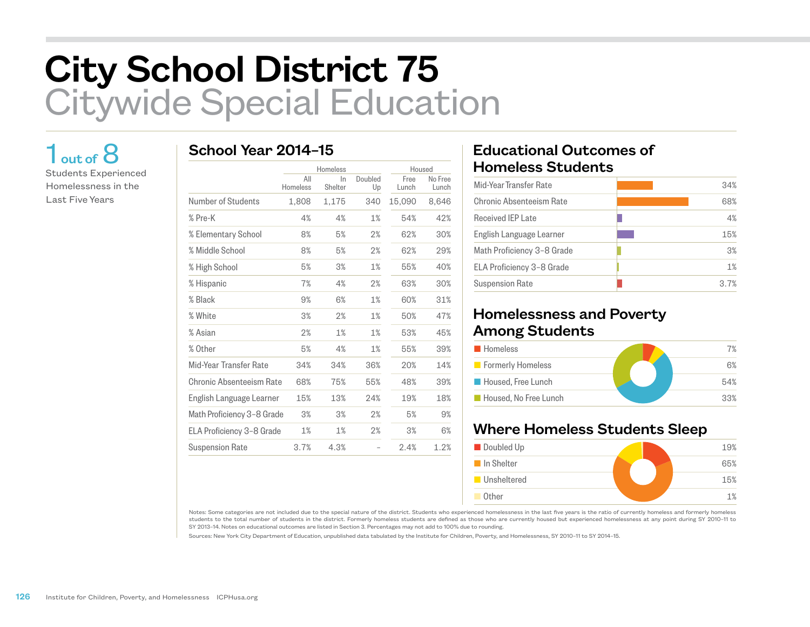# City School District 75 Citywide Special Education

## $1<sub>out of</sub> 8$

Students Experienced Homelessness in the Last Five Years

#### School Year 2014–15

|                            |                 | Homeless      |               | Housed        |                  |
|----------------------------|-----------------|---------------|---------------|---------------|------------------|
|                            | All<br>Homeless | In<br>Shelter | Doubled<br>Up | Free<br>Lunch | No Free<br>Lunch |
| Number of Students         | 1,808           | 1,175         | 340           | 15,090        | 8,646            |
| % Pre-K                    | 4%              | 4%            | 1%            | 54%           | 42%              |
| % Elementary School        | 8%              | 5%            | 2%            | 62%           | 30%              |
| % Middle School            | 8%              | 5%            | 2%            | 62%           | 29%              |
| % High School              | 5%              | 3%            | 1%            | 55%           | 40%              |
| % Hispanic                 | 7%              | 4%            | 2%            | 63%           | 30%              |
| % Black                    | 9%              | 6%            | 1%            | 60%           | 31%              |
| % White                    | 3%              | 2%            | 1%            | 50%           | 47%              |
| % Asian                    | 2%              | 1%            | 1%            | 53%           | 45%              |
| % Other                    | 5%              | 4%            | 1%            | 55%           | 39%              |
| Mid-Year Transfer Rate     | 34%             | 34%           | 36%           | 20%           | 14%              |
| Chronic Absenteeism Rate   | 68%             | 75%           | 55%           | 48%           | 39%              |
| English Language Learner   | 15%             | 13%           | 24%           | 19%           | 18%              |
| Math Proficiency 3-8 Grade | 3%              | 3%            | 2%            | 5%            | 9%               |
| ELA Proficiency 3-8 Grade  | 1%              | 1%            | 2%            | 3%            | 6%               |
| <b>Suspension Rate</b>     | 3.7%            | 4.3%          |               | 2.4%          | 1.2%             |

#### Educational Outcomes of Homeless Students

| Mid-Year Transfer Rate     | 34% |
|----------------------------|-----|
| Chronic Absenteeism Rate   | 68% |
| <b>Received IEP Late</b>   | 4%  |
| English Language Learner   | 15% |
| Math Proficiency 3-8 Grade | 3%  |
| ELA Proficiency 3-8 Grade  | 1%  |
| <b>Suspension Rate</b>     | 37% |
|                            |     |

#### Homelessness and Poverty Among Students

| <b>Homeless</b>          | 7%  |
|--------------------------|-----|
| <b>Formerly Homeless</b> | 6%  |
| Housed, Free Lunch       | 54% |
| Housed. No Free Lunch    | 33% |

### Where Homeless Students Sleep



Notes: Some categories are not included due to the special nature of the district. Students who experienced homelessness in the last five years is the ratio of currently homeless and formerly homeless students to the total number of students in the district. Formerly homeless students are defined as those who are currently housed but experienced homelessness at any point during SY 2010–11 to SY 2013–14. Notes on educational outcomes are listed in Section 3. Percentages may not add to 100% due to rounding.

Sources: New York City Department of Education, unpublished data tabulated by the Institute for Children, Poverty, and Homelessness, SY 2010–11 to SY 2014–15.